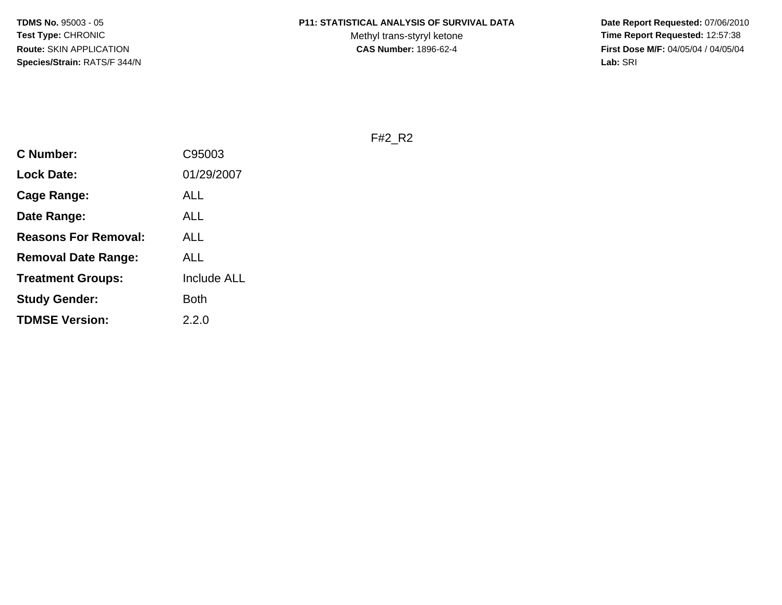# **P11: STATISTICAL ANALYSIS OF SURVIVAL DATA**

Methyl trans-styryl ketone<br>CAS Number: 1896-62-4

 **Date Report Requested:** 07/06/2010 **Time Report Requested:** 12:57:38 **First Dose M/F:** 04/05/04 / 04/05/04<br>Lab: SRI **Lab:** SRI

F#2\_R2

| C Number:                   | C95003             |
|-----------------------------|--------------------|
| <b>Lock Date:</b>           | 01/29/2007         |
| <b>Cage Range:</b>          | ALL                |
| Date Range:                 | ALL                |
| <b>Reasons For Removal:</b> | ALL                |
| <b>Removal Date Range:</b>  | ALL                |
| <b>Treatment Groups:</b>    | <b>Include ALL</b> |
| <b>Study Gender:</b>        | Both               |
| <b>TDMSE Version:</b>       | 2.2.0              |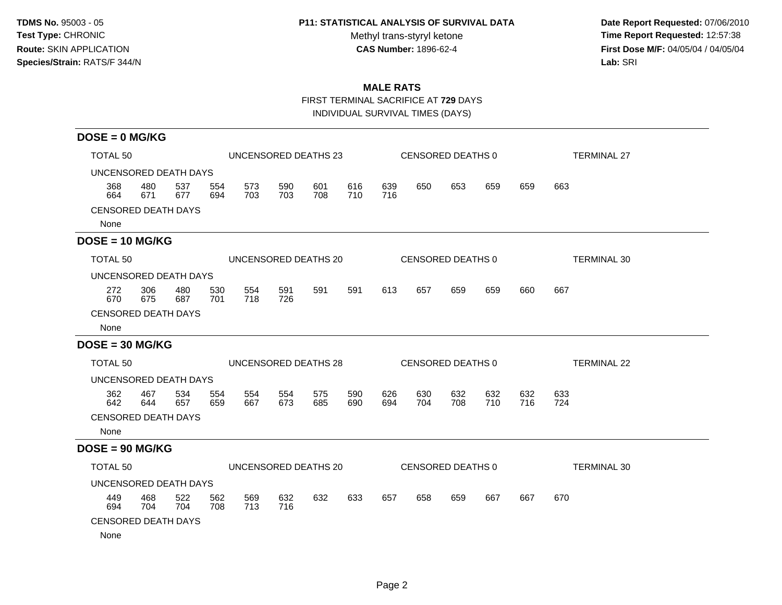## **P11: STATISTICAL ANALYSIS OF SURVIVAL DATA**

Methyl trans-styryl ketone<br>CAS Number: 1896-62-4

 **Date Report Requested:** 07/06/2010 **Time Report Requested:** 12:57:38 **First Dose M/F:** 04/05/04 / 04/05/04<br>Lab: SRI **Lab:** SRI

# **MALE RATS**

FIRST TERMINAL SACRIFICE AT **729** DAYS

INDIVIDUAL SURVIVAL TIMES (DAYS)

| $DOSE = 0$ MG/KG                   |                     |            |            |            |            |                                           |            |            |                   |            |            |            |                    |
|------------------------------------|---------------------|------------|------------|------------|------------|-------------------------------------------|------------|------------|-------------------|------------|------------|------------|--------------------|
|                                    | TOTAL <sub>50</sub> |            |            |            |            | UNCENSORED DEATHS 23<br>CENSORED DEATHS 0 |            |            |                   |            |            |            | <b>TERMINAL 27</b> |
| UNCENSORED DEATH DAYS              |                     |            |            |            |            |                                           |            |            |                   |            |            |            |                    |
| 368<br>664                         | 480<br>671          | 537<br>677 | 554<br>694 | 573<br>703 | 590<br>703 | 601<br>708                                | 616<br>710 | 639<br>716 | 650               | 653        | 659        | 659        | 663                |
| <b>CENSORED DEATH DAYS</b><br>None |                     |            |            |            |            |                                           |            |            |                   |            |            |            |                    |
| $DOSE = 10 MG/KG$                  |                     |            |            |            |            |                                           |            |            |                   |            |            |            |                    |
| <b>TOTAL 50</b>                    |                     |            |            |            |            | UNCENSORED DEATHS 20                      |            |            | CENSORED DEATHS 0 |            |            |            | <b>TERMINAL 30</b> |
| UNCENSORED DEATH DAYS              |                     |            |            |            |            |                                           |            |            |                   |            |            |            |                    |
| 272<br>670                         | 306<br>675          | 480<br>687 | 530<br>701 | 554<br>718 | 591<br>726 | 591                                       | 591        | 613        | 657               | 659        | 659        | 660        | 667                |
| <b>CENSORED DEATH DAYS</b>         |                     |            |            |            |            |                                           |            |            |                   |            |            |            |                    |
| None                               |                     |            |            |            |            |                                           |            |            |                   |            |            |            |                    |
| $DOSE = 30 MG/KG$                  |                     |            |            |            |            |                                           |            |            |                   |            |            |            |                    |
| TOTAL <sub>50</sub>                |                     |            |            |            |            | UNCENSORED DEATHS 28                      |            |            | CENSORED DEATHS 0 |            |            |            | <b>TERMINAL 22</b> |
| UNCENSORED DEATH DAYS              |                     |            |            |            |            |                                           |            |            |                   |            |            |            |                    |
| 362<br>642                         | 467<br>644          | 534<br>657 | 554<br>659 | 554<br>667 | 554<br>673 | 575<br>685                                | 590<br>690 | 626<br>694 | 630<br>704        | 632<br>708 | 632<br>710 | 632<br>716 | 633<br>724         |
| <b>CENSORED DEATH DAYS</b>         |                     |            |            |            |            |                                           |            |            |                   |            |            |            |                    |
| None                               |                     |            |            |            |            |                                           |            |            |                   |            |            |            |                    |
| $DOSE = 90 MG/KG$                  |                     |            |            |            |            |                                           |            |            |                   |            |            |            |                    |
| TOTAL 50                           |                     |            |            |            |            | UNCENSORED DEATHS 20                      |            |            | CENSORED DEATHS 0 |            |            |            | <b>TERMINAL 30</b> |
| UNCENSORED DEATH DAYS              |                     |            |            |            |            |                                           |            |            |                   |            |            |            |                    |
| 449<br>694                         | 468<br>704          | 522<br>704 | 562<br>708 | 569<br>713 | 632<br>716 | 632                                       | 633        | 657        | 658               | 659        | 667        | 667        | 670                |
| <b>CENSORED DEATH DAYS</b>         |                     |            |            |            |            |                                           |            |            |                   |            |            |            |                    |
| None                               |                     |            |            |            |            |                                           |            |            |                   |            |            |            |                    |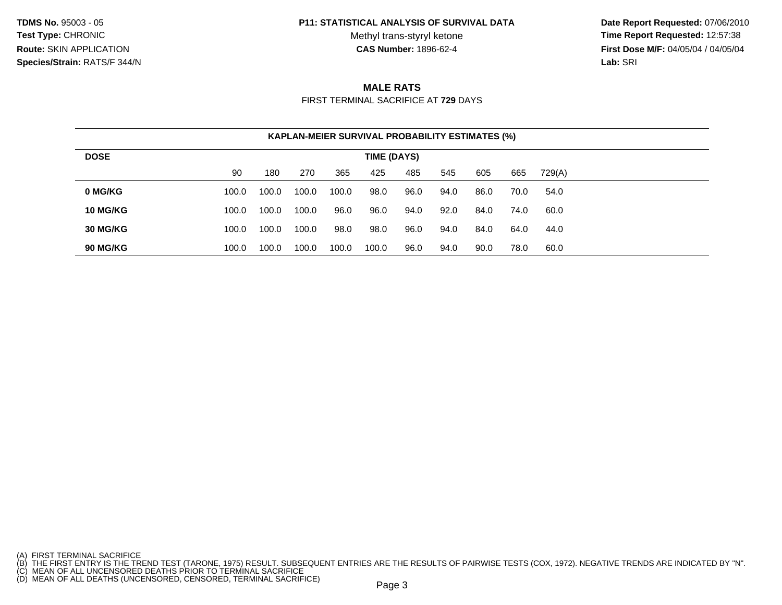#### **P11: STATISTICAL ANALYSIS OF SURVIVAL DATA**

Methyl trans-styryl ketone<br>CAS Number: 1896-62-4

 **Date Report Requested:** 07/06/2010 **Time Report Requested:** 12:57:38 **First Dose M/F:** 04/05/04 / 04/05/04<br>**Lab:** SRI **Lab:** SRI

# **MALE RATS**

FIRST TERMINAL SACRIFICE AT **729** DAYS

| <b>KAPLAN-MEIER SURVIVAL PROBABILITY ESTIMATES (%)</b> |             |       |       |       |       |      |      |      |      |        |  |  |  |
|--------------------------------------------------------|-------------|-------|-------|-------|-------|------|------|------|------|--------|--|--|--|
| <b>DOSE</b>                                            | TIME (DAYS) |       |       |       |       |      |      |      |      |        |  |  |  |
|                                                        | 90          | 180   | 270   | 365   | 425   | 485  | 545  | 605  | 665  | 729(A) |  |  |  |
| 0 MG/KG                                                | 100.0       | 100.0 | 100.0 | 100.0 | 98.0  | 96.0 | 94.0 | 86.0 | 70.0 | 54.0   |  |  |  |
| 10 MG/KG                                               | 100.0       | 100.0 | 100.0 | 96.0  | 96.0  | 94.0 | 92.0 | 84.0 | 74.0 | 60.0   |  |  |  |
| 30 MG/KG                                               | 100.0       | 100.0 | 100.0 | 98.0  | 98.0  | 96.0 | 94.0 | 84.0 | 64.0 | 44.0   |  |  |  |
| 90 MG/KG                                               | 100.0       | 100.0 | 100.0 | 100.0 | 100.0 | 96.0 | 94.0 | 90.0 | 78.0 | 60.0   |  |  |  |

<sup>(</sup>A) FIRST TERMINAL SACRIFICE<br>(B) THE FIRST ENTRY IS THE TREND TEST (TARONE, 1975) RESULT. SUBSEQUENT ENTRIES ARE THE RESULTS OF PAIRWISE TESTS (COX, 1972). NEGATIVE TRENDS ARE INDICATED BY "N".<br>(C) MEAN OF ALL UNCENSORED D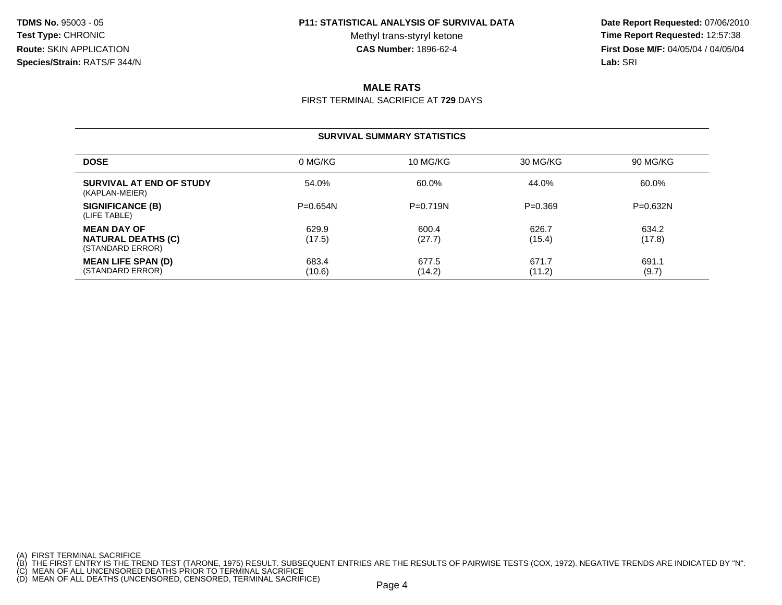#### **P11: STATISTICAL ANALYSIS OF SURVIVAL DATA**

Methyl trans-styryl ketone<br>CAS Number: 1896-62-4

 **Date Report Requested:** 07/06/2010 **Time Report Requested:** 12:57:38 **First Dose M/F:** 04/05/04 / 04/05/04<br>**Lab:** SRI **Lab:** SRI

# **MALE RATS**

FIRST TERMINAL SACRIFICE AT **729** DAYS

### **SURVIVAL SUMMARY STATISTICS**

| <b>DOSE</b>                                                         | 0 MG/KG         | 10 MG/KG        | 30 MG/KG        | 90 MG/KG        |
|---------------------------------------------------------------------|-----------------|-----------------|-----------------|-----------------|
| SURVIVAL AT END OF STUDY<br>(KAPLAN-MEIER)                          | 54.0%           | 60.0%           | 44.0%           | 60.0%           |
| SIGNIFICANCE (B)<br>(LIFE TABLE)                                    | $P = 0.654N$    | $P=0.719N$      | $P=0.369$       | $P=0.632N$      |
| <b>MEAN DAY OF</b><br><b>NATURAL DEATHS (C)</b><br>(STANDARD ERROR) | 629.9<br>(17.5) | 600.4<br>(27.7) | 626.7<br>(15.4) | 634.2<br>(17.8) |
| <b>MEAN LIFE SPAN (D)</b><br>(STANDARD ERROR)                       | 683.4<br>(10.6) | 677.5<br>(14.2) | 671.7<br>(11.2) | 691.1<br>(9.7)  |

- 
- 

<sup>(</sup>A) FIRST TERMINAL SACRIFICE<br>(B) THE FIRST ENTRY IS THE TREND TEST (TARONE, 1975) RESULT. SUBSEQUENT ENTRIES ARE THE RESULTS OF PAIRWISE TESTS (COX, 1972). NEGATIVE TRENDS ARE INDICATED BY "N".<br>(C) MEAN OF ALL UNCENSORED D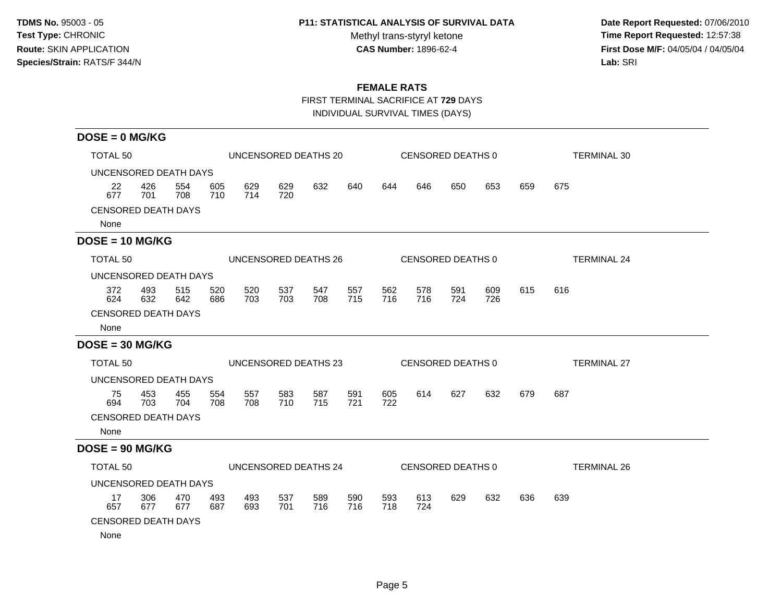## **P11: STATISTICAL ANALYSIS OF SURVIVAL DATA**

Methyl trans-styryl ketone<br>CAS Number: 1896-62-4

 **Date Report Requested:** 07/06/2010 **Time Report Requested:** 12:57:38 **First Dose M/F:** 04/05/04 / 04/05/04<br>Lab: SRI **Lab:** SRI

## **FEMALE RATS**

FIRST TERMINAL SACRIFICE AT **729** DAYS

INDIVIDUAL SURVIVAL TIMES (DAYS)

| $DOSE = 0$ MG/KG                   |            |                      |            |            |            |                      |            |            |                   |            |            |                    |                    |  |
|------------------------------------|------------|----------------------|------------|------------|------------|----------------------|------------|------------|-------------------|------------|------------|--------------------|--------------------|--|
| <b>TOTAL 50</b>                    |            | UNCENSORED DEATHS 20 |            |            |            |                      |            |            | CENSORED DEATHS 0 |            |            | <b>TERMINAL 30</b> |                    |  |
| UNCENSORED DEATH DAYS              |            |                      |            |            |            |                      |            |            |                   |            |            |                    |                    |  |
| 22<br>677                          | 426<br>701 | 554<br>708           | 605<br>710 | 629<br>714 | 629<br>720 | 632                  | 640        | 644        | 646               | 650        | 653        | 659                | 675                |  |
| <b>CENSORED DEATH DAYS</b><br>None |            |                      |            |            |            |                      |            |            |                   |            |            |                    |                    |  |
| $DOSE = 10 MG/KG$                  |            |                      |            |            |            |                      |            |            |                   |            |            |                    |                    |  |
| <b>TOTAL 50</b>                    |            |                      |            |            |            | UNCENSORED DEATHS 26 |            |            | CENSORED DEATHS 0 |            |            |                    | <b>TERMINAL 24</b> |  |
| UNCENSORED DEATH DAYS              |            |                      |            |            |            |                      |            |            |                   |            |            |                    |                    |  |
| 372<br>624                         | 493<br>632 | 515<br>642           | 520<br>686 | 520<br>703 | 537<br>703 | 547<br>708           | 557<br>715 | 562<br>716 | 578<br>716        | 591<br>724 | 609<br>726 | 615                | 616                |  |
| <b>CENSORED DEATH DAYS</b>         |            |                      |            |            |            |                      |            |            |                   |            |            |                    |                    |  |
| None                               |            |                      |            |            |            |                      |            |            |                   |            |            |                    |                    |  |
| $DOSE = 30 MG/KG$                  |            |                      |            |            |            |                      |            |            |                   |            |            |                    |                    |  |
| <b>TOTAL 50</b>                    |            |                      |            |            |            | UNCENSORED DEATHS 23 |            |            | CENSORED DEATHS 0 |            |            |                    | <b>TERMINAL 27</b> |  |
| UNCENSORED DEATH DAYS              |            |                      |            |            |            |                      |            |            |                   |            |            |                    |                    |  |
| 75<br>694                          | 453<br>703 | 455<br>704           | 554<br>708 | 557<br>708 | 583<br>710 | 587<br>715           | 591<br>721 | 605<br>722 | 614               | 627        | 632        | 679                | 687                |  |
| <b>CENSORED DEATH DAYS</b>         |            |                      |            |            |            |                      |            |            |                   |            |            |                    |                    |  |
| None                               |            |                      |            |            |            |                      |            |            |                   |            |            |                    |                    |  |
| $DOSE = 90 MG/KG$                  |            |                      |            |            |            |                      |            |            |                   |            |            |                    |                    |  |
| <b>TOTAL 50</b>                    |            |                      |            |            |            | UNCENSORED DEATHS 24 |            |            | CENSORED DEATHS 0 |            |            |                    | <b>TERMINAL 26</b> |  |
| UNCENSORED DEATH DAYS              |            |                      |            |            |            |                      |            |            |                   |            |            |                    |                    |  |
| 17<br>657                          | 306<br>677 | 470<br>677           | 493<br>687 | 493<br>693 | 537<br>701 | 589<br>716           | 590<br>716 | 593<br>718 | 613<br>724        | 629        | 632        | 636                | 639                |  |
| <b>CENSORED DEATH DAYS</b>         |            |                      |            |            |            |                      |            |            |                   |            |            |                    |                    |  |
| None                               |            |                      |            |            |            |                      |            |            |                   |            |            |                    |                    |  |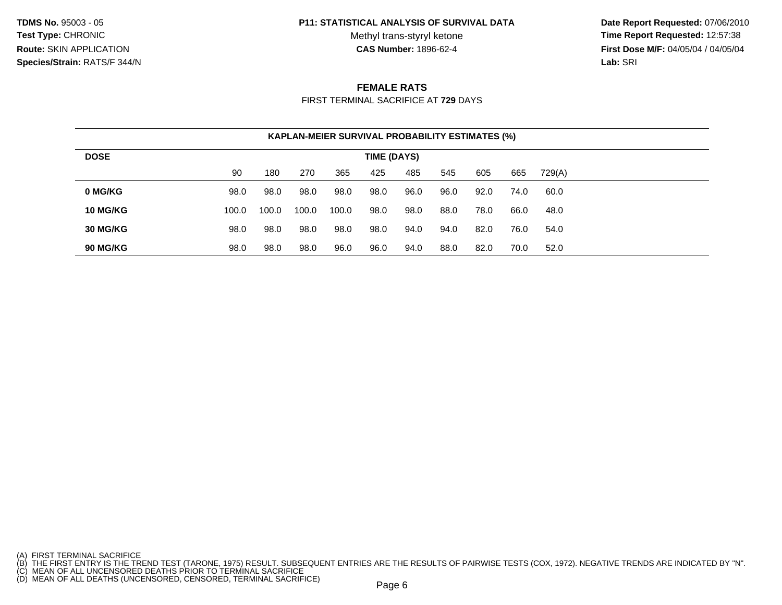#### **P11: STATISTICAL ANALYSIS OF SURVIVAL DATA**

Methyl trans-styryl ketone<br>CAS Number: 1896-62-4

 **Date Report Requested:** 07/06/2010 **Time Report Requested:** 12:57:38 **First Dose M/F:** 04/05/04 / 04/05/04<br>**Lab:** SRI **Lab:** SRI

### **FEMALE RATS**

FIRST TERMINAL SACRIFICE AT **729** DAYS

| <b>KAPLAN-MEIER SURVIVAL PROBABILITY ESTIMATES (%)</b> |             |       |       |       |      |      |      |      |      |        |  |  |  |
|--------------------------------------------------------|-------------|-------|-------|-------|------|------|------|------|------|--------|--|--|--|
| <b>DOSE</b>                                            | TIME (DAYS) |       |       |       |      |      |      |      |      |        |  |  |  |
|                                                        | 90          | 180   | 270   | 365   | 425  | 485  | 545  | 605  | 665  | 729(A) |  |  |  |
| 0 MG/KG                                                | 98.0        | 98.0  | 98.0  | 98.0  | 98.0 | 96.0 | 96.0 | 92.0 | 74.0 | 60.0   |  |  |  |
| 10 MG/KG                                               | 100.0       | 100.0 | 100.0 | 100.0 | 98.0 | 98.0 | 88.0 | 78.0 | 66.0 | 48.0   |  |  |  |
| 30 MG/KG                                               | 98.0        | 98.0  | 98.0  | 98.0  | 98.0 | 94.0 | 94.0 | 82.0 | 76.0 | 54.0   |  |  |  |
| 90 MG/KG                                               | 98.0        | 98.0  | 98.0  | 96.0  | 96.0 | 94.0 | 88.0 | 82.0 | 70.0 | 52.0   |  |  |  |

<sup>(</sup>A) FIRST TERMINAL SACRIFICE<br>(B) THE FIRST ENTRY IS THE TREND TEST (TARONE, 1975) RESULT. SUBSEQUENT ENTRIES ARE THE RESULTS OF PAIRWISE TESTS (COX, 1972). NEGATIVE TRENDS ARE INDICATED BY "N".<br>(C) MEAN OF ALL UNCENSORED D